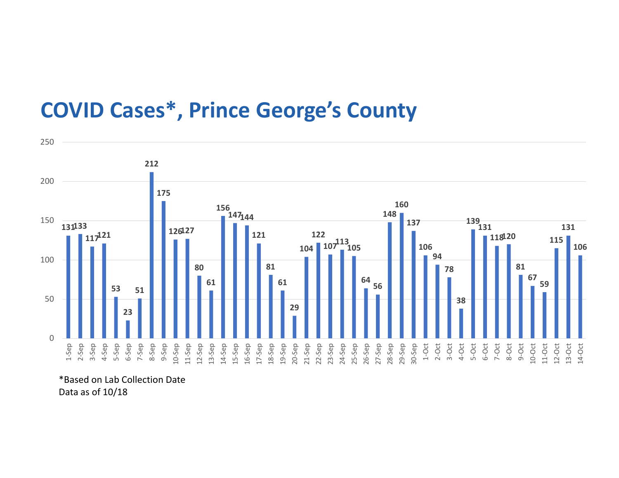## COVID Cases\*, Prince George's County



\*Based on Lab Collection Date Data as of 10/18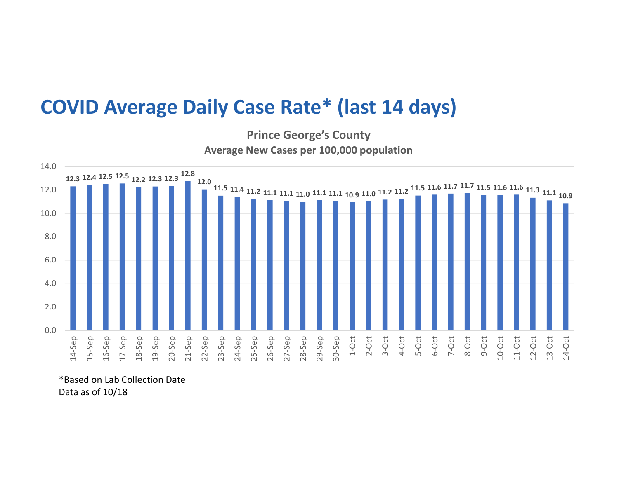## COVID Average Daily Case Rate\* (last 14 days)

Prince George's County Average New Cases per 100,000 population



\*Based on Lab Collection Date Data as of 10/18